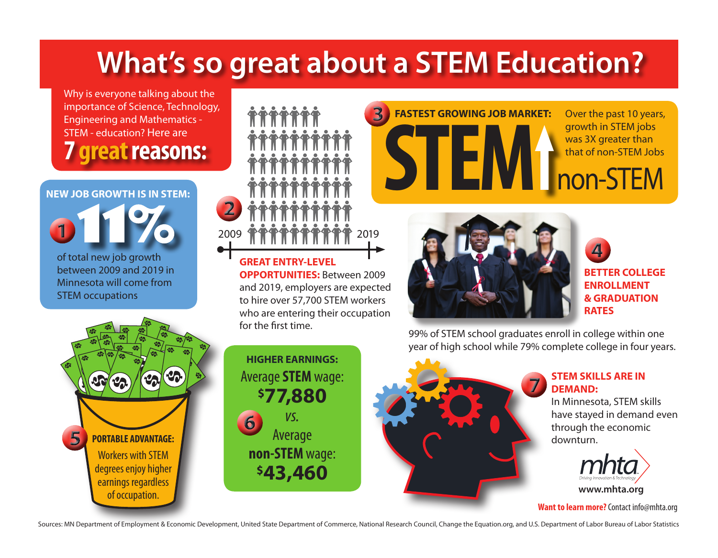### **What's so great about a STEM Education?**

Why is everyone talking about the importance of Science, Technology, Engineering and Mathematics - STEM - education? Here are **7 great reasons:**

### of total new job growth between 2009 and 2019 in Minnesota will come from **NEW JOB GROWTH IS IN STEM:**

STEM occupations

2009 曾曾曾曾曾曾曾曾曾曾 2019

**GREAT ENTRY-LEVEL OPPORTUNITIES:** Between 2009 and 2019, employers are expected to hire over 57,700 STEM workers who are entering their occupation for the first time.



**FASTEST GROWING JOB MARKET:** 

**BETTER COLLEGE ENROLLMENT & GRADUATION RATES**

Over the past 10 years, growth in STEM jobs was 3X greater than

99% of STEM school graduates enroll in college within one year of high school while 79% complete college in four years.

**STEM** National STEM Jobs National STEM Jobs National STEM Jobs National STEM Jobs National STEM Jobs National STEM Jobs National STEM Jobs National STEM Jobs National STEM Jobs National STEM Jobs National STEM Jobs Nation

# Workers with STEM degrees enjoy higher earnings regardless of occupation. **PORTABLE ADVANTAGE:**





#### **STEM SKILLS ARE IN DEMAND:**

In Minnesota, STEM skills have stayed in demand even through the economic downturn.



**Want to learn more?** Contact info@mhta.org

Sources: MN Department of Employment & Economic Development, United State Department of Commerce, National Research Council, Change the Equation.org, and U.S. Department of Labor Bureau of Labor Statistics